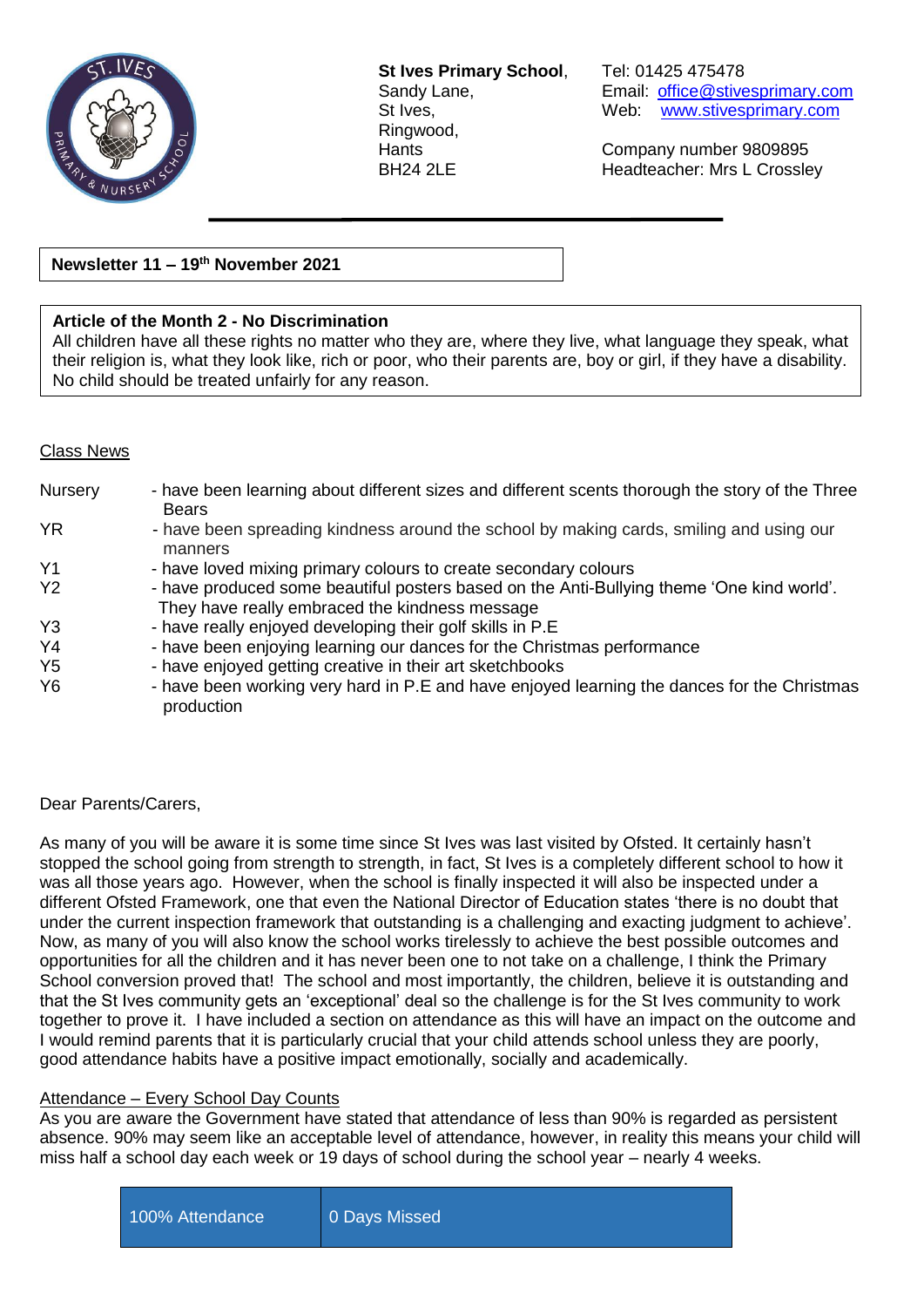

**St Ives Primary School**, Tel: 01425 475478 Ringwood,

Sandy Lane, Email: [office@stivesprimary.com](mailto:office@stivesprimary.com) St Ives, Web: [www.stivesprimary.com](http://www.stives.dorset.sch.uk/)

Hants Company number 9809895 BH24 2LE Headteacher: Mrs L Crossley

**Newsletter 11 – 19 th November 2021**

## **Article of the Month 2 - No Discrimination**

All children have all these rights no matter who they are, where they live, what language they speak, what their religion is, what they look like, rich or poor, who their parents are, boy or girl, if they have a disability. No child should be treated unfairly for any reason.

## Class News

| <b>Nursery</b> | - have been learning about different sizes and different scents thorough the story of the Three<br><b>Bears</b>                             |
|----------------|---------------------------------------------------------------------------------------------------------------------------------------------|
| YR.            | - have been spreading kindness around the school by making cards, smiling and using our<br>manners                                          |
| Y <sub>1</sub> | - have loved mixing primary colours to create secondary colours                                                                             |
| Y2             | - have produced some beautiful posters based on the Anti-Bullying theme 'One kind world'.<br>They have really embraced the kindness message |
| Y <sub>3</sub> | - have really enjoyed developing their golf skills in P.E                                                                                   |
| Y <sub>4</sub> | - have been enjoying learning our dances for the Christmas performance                                                                      |
| Y <sub>5</sub> | - have enjoyed getting creative in their art sketchbooks                                                                                    |
| Y <sub>6</sub> | - have been working very hard in P.E and have enjoyed learning the dances for the Christmas<br>production                                   |

# Dear Parents/Carers,

As many of you will be aware it is some time since St Ives was last visited by Ofsted. It certainly hasn't stopped the school going from strength to strength, in fact, St Ives is a completely different school to how it was all those years ago. However, when the school is finally inspected it will also be inspected under a different Ofsted Framework, one that even the National Director of Education states 'there is no doubt that under the current inspection framework that outstanding is a challenging and exacting judgment to achieve'. Now, as many of you will also know the school works tirelessly to achieve the best possible outcomes and opportunities for all the children and it has never been one to not take on a challenge, I think the Primary School conversion proved that! The school and most importantly, the children, believe it is outstanding and that the St Ives community gets an 'exceptional' deal so the challenge is for the St Ives community to work together to prove it. I have included a section on attendance as this will have an impact on the outcome and I would remind parents that it is particularly crucial that your child attends school unless they are poorly, good attendance habits have a positive impact emotionally, socially and academically.

# Attendance – Every School Day Counts

As you are aware the Government have stated that attendance of less than 90% is regarded as persistent absence. 90% may seem like an acceptable level of attendance, however, in reality this means your child will miss half a school day each week or 19 days of school during the school year – nearly 4 weeks.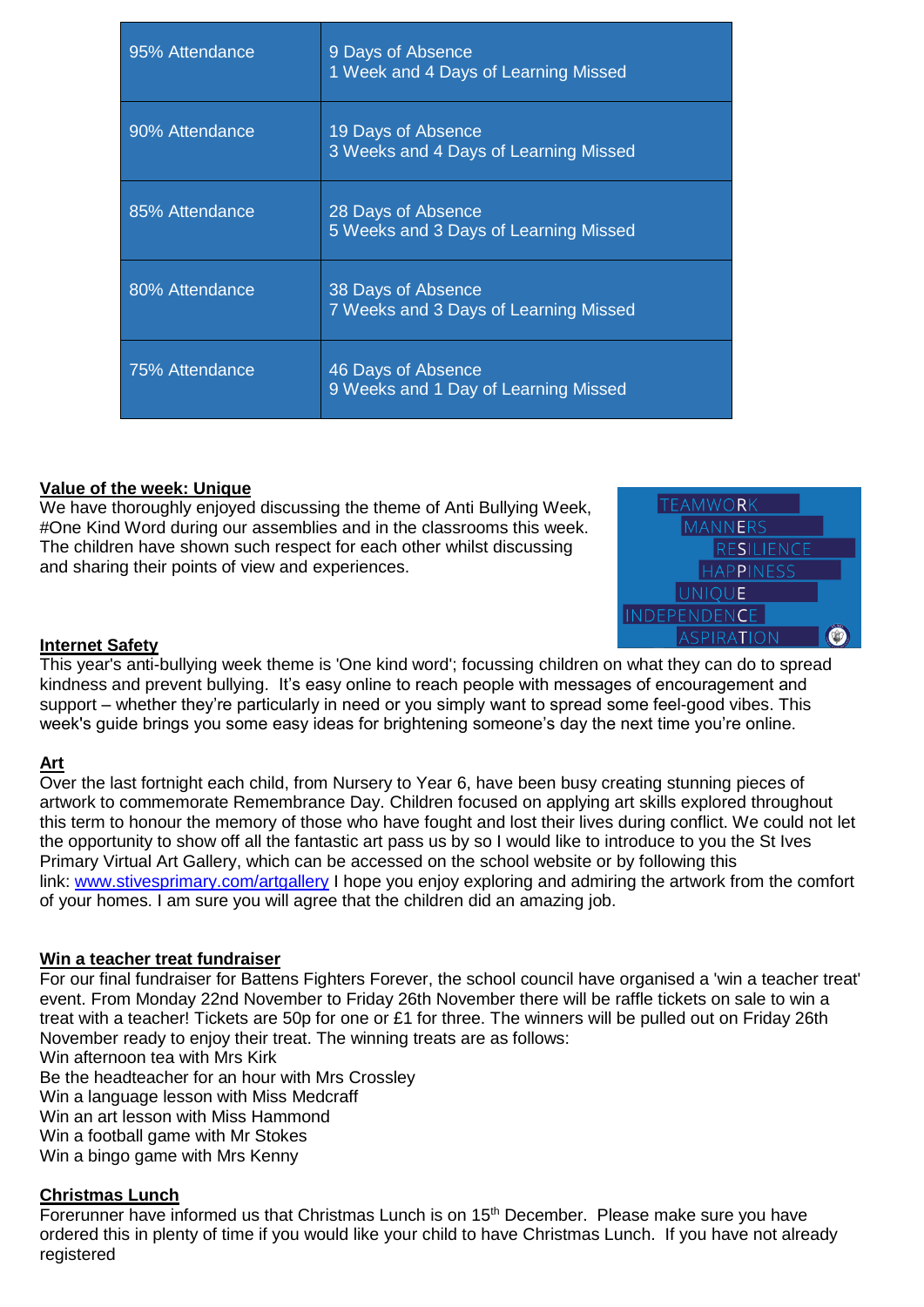| 95% Attendance | 9 Days of Absence<br>1 Week and 4 Days of Learning Missed   |
|----------------|-------------------------------------------------------------|
| 90% Attendance | 19 Days of Absence<br>3 Weeks and 4 Days of Learning Missed |
| 85% Attendance | 28 Days of Absence<br>5 Weeks and 3 Days of Learning Missed |
| 80% Attendance | 38 Days of Absence<br>7 Weeks and 3 Days of Learning Missed |
| 75% Attendance | 46 Days of Absence<br>9 Weeks and 1 Day of Learning Missed  |

## **Value of the week: Unique**

We have thoroughly enjoyed discussing the theme of Anti Bullying Week, #One Kind Word during our assemblies and in the classrooms this week. The children have shown such respect for each other whilst discussing and sharing their points of view and experiences.



## **Internet Safety**

This year's anti-bullying week theme is 'One kind word'; focussing children on what they can do to spread kindness and prevent bullying. It's easy online to reach people with messages of encouragement and support – whether they're particularly in need or you simply want to spread some feel-good vibes. This week's quide brings you some easy ideas for brightening someone's day the next time you're online.

## **Art**

Over the last fortnight each child, from Nursery to Year 6, have been busy creating stunning pieces of artwork to commemorate Remembrance Day. Children focused on applying art skills explored throughout this term to honour the memory of those who have fought and lost their lives during conflict. We could not let the opportunity to show off all the fantastic art pass us by so I would like to introduce to you the St Ives Primary Virtual Art Gallery, which can be accessed on the school website or by following this link: [www.stivesprimary.com/artgallery](https://www.stivesprimary.com/artgallery) I hope you enjoy exploring and admiring the artwork from the comfort of your homes. I am sure you will agree that the children did an amazing job.

## **Win a teacher treat fundraiser**

For our final fundraiser for Battens Fighters Forever, the school council have organised a 'win a teacher treat' event. From Monday 22nd November to Friday 26th November there will be raffle tickets on sale to win a treat with a teacher! Tickets are 50p for one or £1 for three. The winners will be pulled out on Friday 26th November ready to enjoy their treat. The winning treats are as follows: Win afternoon tea with Mrs Kirk Be the headteacher for an hour with Mrs Crossley Win a language lesson with Miss Medcraff

Win an art lesson with Miss Hammond

Win a football game with Mr Stokes

Win a bingo game with Mrs Kenny

## **Christmas Lunch**

Forerunner have informed us that Christmas Lunch is on 15<sup>th</sup> December. Please make sure vou have ordered this in plenty of time if you would like your child to have Christmas Lunch. If you have not already registered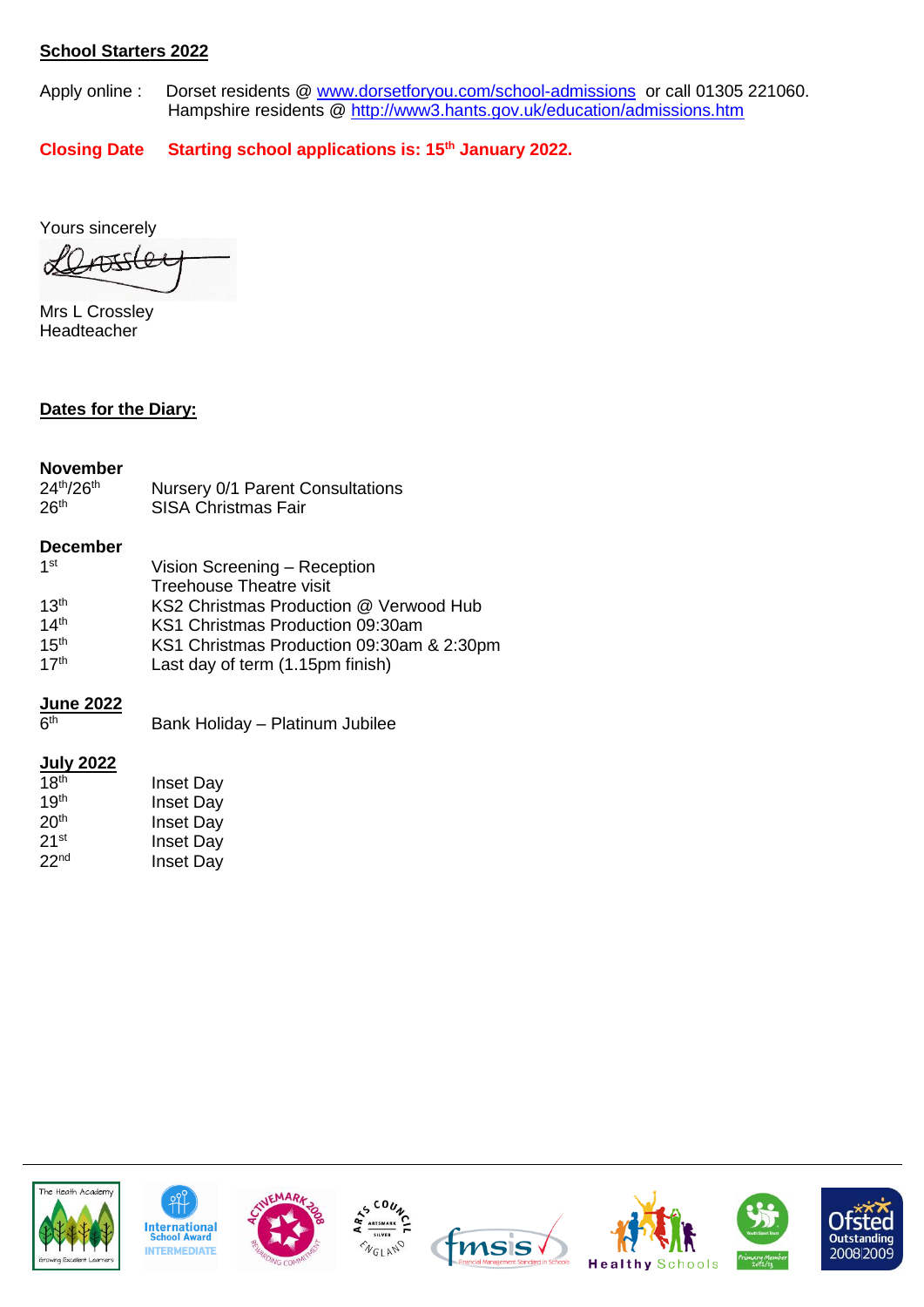## **School Starters 2022**

Apply online : Dorset residents @ [www.dorsetforyou.com/school-admissions](http://www.dorsetforyou.com/school-admissions) or call 01305 221060. Hampshire residents @<http://www3.hants.gov.uk/education/admissions.htm>

**Closing Date Starting school applications is: 15th January 2022.** 

Yours sincerely

ATTSLee

Mrs L Crossley Headteacher

## **Dates for the Diary:**

## **November**

| 24th/26th        | Nursery 0/1 Parent Consultations |
|------------------|----------------------------------|
| 26 <sup>th</sup> | <b>SISA Christmas Fair</b>       |

## **December**

| $1$ st           | Vision Screening - Reception              |
|------------------|-------------------------------------------|
|                  | <b>Treehouse Theatre visit</b>            |
| 13 <sup>th</sup> | KS2 Christmas Production @ Verwood Hub    |
| 14 <sup>th</sup> | KS1 Christmas Production 09:30am          |
| 15 <sup>th</sup> | KS1 Christmas Production 09:30am & 2:30pm |
| 17 <sup>th</sup> | Last day of term (1.15pm finish)          |

## **June 2022**

| 6 <sup>th</sup> | Bank Holiday - Platinum Jubilee |  |
|-----------------|---------------------------------|--|
|                 |                                 |  |
|                 |                                 |  |

## **July 2022**

| 18 <sup>th</sup>   | <b>Inset Day</b> |
|--------------------|------------------|
| 19 <sup>th</sup>   | <b>Inset Day</b> |
| 20 <sup>th</sup>   | <b>Inset Day</b> |
| $21$ <sup>st</sup> | <b>Inset Day</b> |
| 22 <sup>nd</sup>   | <b>Inset Day</b> |